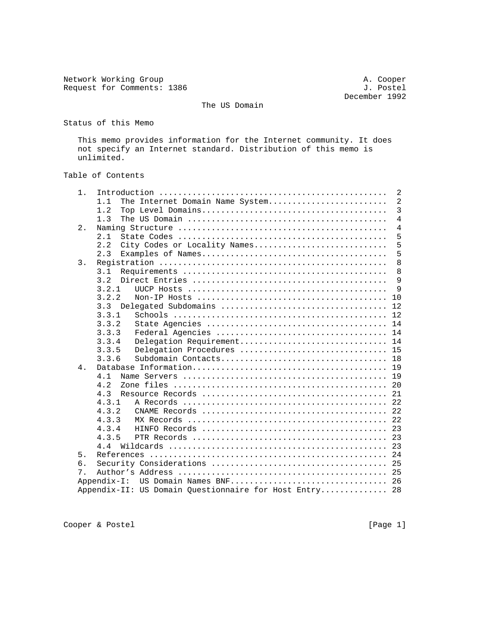Network Working Group<br>
Request for Comments: 1386<br>  $J.$  Postel Request for Comments: 1386

December 1992

The US Domain

Status of this Memo

 This memo provides information for the Internet community. It does not specify an Internet standard. Distribution of this memo is unlimited.

## Table of Contents

| $1$ . |       | 2                                                      |                |
|-------|-------|--------------------------------------------------------|----------------|
|       | 1.1   | $\overline{2}$<br>The Internet Domain Name System      |                |
|       | 1.2   |                                                        | $\overline{3}$ |
|       | 1.3   | $\overline{4}$                                         |                |
| 2.    |       | $\overline{4}$                                         |                |
|       | 2.1   | 5                                                      |                |
|       | 2.2   | 5<br>City Codes or Locality Names                      |                |
|       | 2.3   | 5                                                      |                |
| 3.    |       | 8                                                      |                |
|       | 3.1   | 8                                                      |                |
|       | 3.2   | 9                                                      |                |
|       | 3.2.1 | 9                                                      |                |
|       | 3.2.2 | 10                                                     |                |
|       | 3.3   | 12                                                     |                |
|       | 3.3.1 | 12                                                     |                |
|       | 3.3.2 | 14                                                     |                |
|       | 3.3.3 | 14                                                     |                |
|       | 3.3.4 | 14<br>Delegation Requirement                           |                |
|       | 3.3.5 | 15<br>Delegation Procedures                            |                |
|       | 3.3.6 | 18                                                     |                |
| 4.    |       | 19                                                     |                |
|       | 4.1   | 19                                                     |                |
|       | 4.2   | 20                                                     |                |
|       | 4.3   | 21                                                     |                |
|       | 4.3.1 | 22                                                     |                |
|       | 4.3.2 | 22                                                     |                |
|       | 4.3.3 | 22                                                     |                |
|       | 4.3.4 | 23                                                     |                |
|       | 4.3.5 |                                                        |                |
|       | 44    |                                                        |                |
| 5.    |       | 24                                                     |                |
| 6.    |       | 25                                                     |                |
| $7$ . |       |                                                        |                |
|       |       | Appendix-I: US Domain Names BNF 26                     |                |
|       |       | Appendix-II: US Domain Questionnaire for Host Entry 28 |                |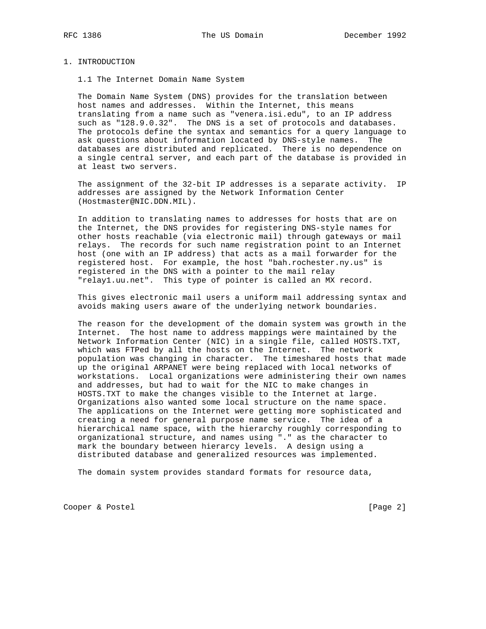#### 1. INTRODUCTION

1.1 The Internet Domain Name System

 The Domain Name System (DNS) provides for the translation between host names and addresses. Within the Internet, this means translating from a name such as "venera.isi.edu", to an IP address such as "128.9.0.32". The DNS is a set of protocols and databases. The protocols define the syntax and semantics for a query language to ask questions about information located by DNS-style names. The databases are distributed and replicated. There is no dependence on a single central server, and each part of the database is provided in at least two servers.

 The assignment of the 32-bit IP addresses is a separate activity. IP addresses are assigned by the Network Information Center (Hostmaster@NIC.DDN.MIL).

 In addition to translating names to addresses for hosts that are on the Internet, the DNS provides for registering DNS-style names for other hosts reachable (via electronic mail) through gateways or mail relays. The records for such name registration point to an Internet host (one with an IP address) that acts as a mail forwarder for the registered host. For example, the host "bah.rochester.ny.us" is registered in the DNS with a pointer to the mail relay "relay1.uu.net". This type of pointer is called an MX record.

 This gives electronic mail users a uniform mail addressing syntax and avoids making users aware of the underlying network boundaries.

 The reason for the development of the domain system was growth in the Internet. The host name to address mappings were maintained by the Network Information Center (NIC) in a single file, called HOSTS.TXT, which was FTPed by all the hosts on the Internet. The network population was changing in character. The timeshared hosts that made up the original ARPANET were being replaced with local networks of workstations. Local organizations were administering their own names and addresses, but had to wait for the NIC to make changes in HOSTS.TXT to make the changes visible to the Internet at large. Organizations also wanted some local structure on the name space. The applications on the Internet were getting more sophisticated and creating a need for general purpose name service. The idea of a hierarchical name space, with the hierarchy roughly corresponding to organizational structure, and names using "." as the character to mark the boundary between hierarcy levels. A design using a distributed database and generalized resources was implemented.

The domain system provides standard formats for resource data,

Cooper & Postel [Page 2]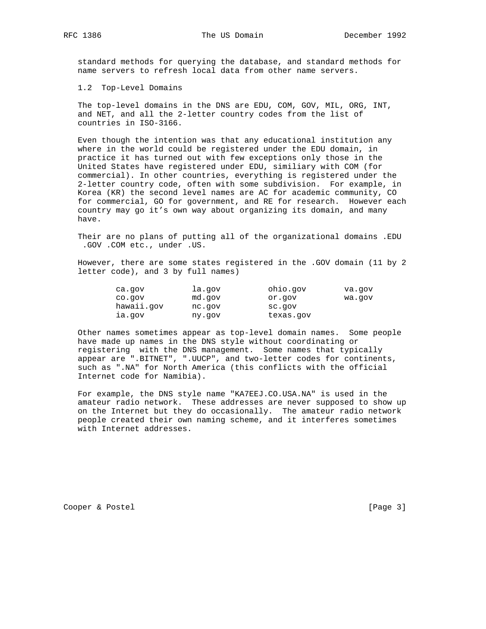standard methods for querying the database, and standard methods for name servers to refresh local data from other name servers.

1.2 Top-Level Domains

 The top-level domains in the DNS are EDU, COM, GOV, MIL, ORG, INT, and NET, and all the 2-letter country codes from the list of countries in ISO-3166.

 Even though the intention was that any educational institution any where in the world could be registered under the EDU domain, in practice it has turned out with few exceptions only those in the United States have registered under EDU, similiary with COM (for commercial). In other countries, everything is registered under the 2-letter country code, often with some subdivision. For example, in Korea (KR) the second level names are AC for academic community, CO for commercial, GO for government, and RE for research. However each country may go it's own way about organizing its domain, and many have.

 Their are no plans of putting all of the organizational domains .EDU .GOV .COM etc., under .US.

 However, there are some states registered in the .GOV domain (11 by 2 letter code), and 3 by full names)

| ca.gov     | la.qov | ohio.gov  | va.gov |
|------------|--------|-----------|--------|
| co.gov     | md.gov | or.gov    | wa.qov |
| hawaii.gov | nc.gov | sc.gov    |        |
| ia.gov     | ny.qov | texas.gov |        |

 Other names sometimes appear as top-level domain names. Some people have made up names in the DNS style without coordinating or registering with the DNS management. Some names that typically appear are ".BITNET", ".UUCP", and two-letter codes for continents, such as ".NA" for North America (this conflicts with the official Internet code for Namibia).

 For example, the DNS style name "KA7EEJ.CO.USA.NA" is used in the amateur radio network. These addresses are never supposed to show up on the Internet but they do occasionally. The amateur radio network people created their own naming scheme, and it interferes sometimes with Internet addresses.

Cooper & Postel [Page 3]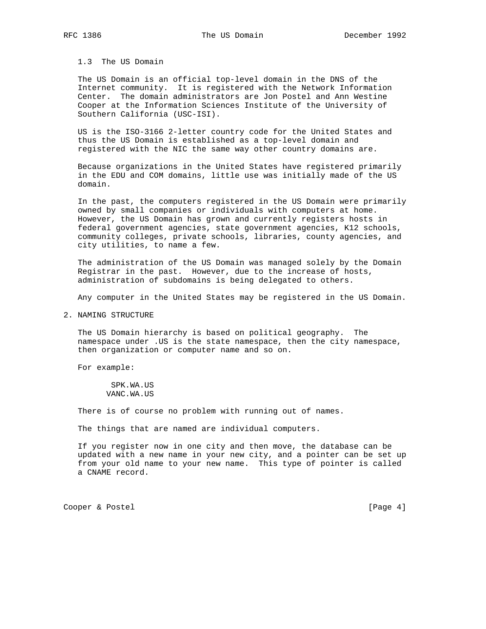# 1.3 The US Domain

 The US Domain is an official top-level domain in the DNS of the Internet community. It is registered with the Network Information Center. The domain administrators are Jon Postel and Ann Westine Cooper at the Information Sciences Institute of the University of Southern California (USC-ISI).

 US is the ISO-3166 2-letter country code for the United States and thus the US Domain is established as a top-level domain and registered with the NIC the same way other country domains are.

 Because organizations in the United States have registered primarily in the EDU and COM domains, little use was initially made of the US domain.

 In the past, the computers registered in the US Domain were primarily owned by small companies or individuals with computers at home. However, the US Domain has grown and currently registers hosts in federal government agencies, state government agencies, K12 schools, community colleges, private schools, libraries, county agencies, and city utilities, to name a few.

 The administration of the US Domain was managed solely by the Domain Registrar in the past. However, due to the increase of hosts, administration of subdomains is being delegated to others.

Any computer in the United States may be registered in the US Domain.

2. NAMING STRUCTURE

 The US Domain hierarchy is based on political geography. The namespace under .US is the state namespace, then the city namespace, then organization or computer name and so on.

For example:

 SPK.WA.US VANC.WA.US

There is of course no problem with running out of names.

The things that are named are individual computers.

 If you register now in one city and then move, the database can be updated with a new name in your new city, and a pointer can be set up from your old name to your new name. This type of pointer is called a CNAME record.

Cooper & Postel [Page 4]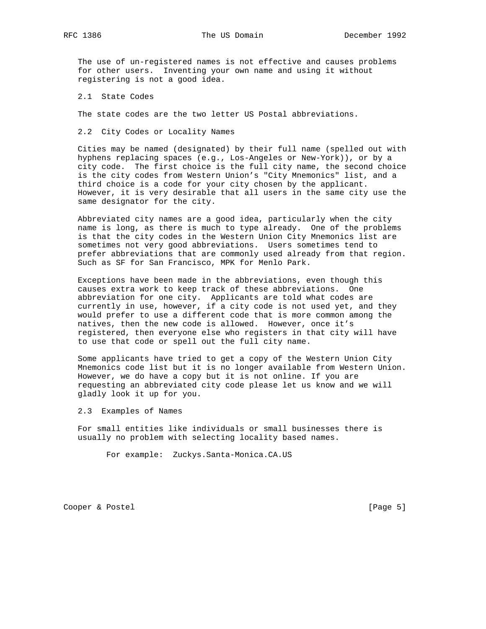The use of un-registered names is not effective and causes problems for other users. Inventing your own name and using it without registering is not a good idea.

2.1 State Codes

The state codes are the two letter US Postal abbreviations.

2.2 City Codes or Locality Names

 Cities may be named (designated) by their full name (spelled out with hyphens replacing spaces (e.g., Los-Angeles or New-York)), or by a city code. The first choice is the full city name, the second choice is the city codes from Western Union's "City Mnemonics" list, and a third choice is a code for your city chosen by the applicant. However, it is very desirable that all users in the same city use the same designator for the city.

 Abbreviated city names are a good idea, particularly when the city name is long, as there is much to type already. One of the problems is that the city codes in the Western Union City Mnemonics list are sometimes not very good abbreviations. Users sometimes tend to prefer abbreviations that are commonly used already from that region. Such as SF for San Francisco, MPK for Menlo Park.

 Exceptions have been made in the abbreviations, even though this causes extra work to keep track of these abbreviations. One abbreviation for one city. Applicants are told what codes are currently in use, however, if a city code is not used yet, and they would prefer to use a different code that is more common among the natives, then the new code is allowed. However, once it's registered, then everyone else who registers in that city will have to use that code or spell out the full city name.

 Some applicants have tried to get a copy of the Western Union City Mnemonics code list but it is no longer available from Western Union. However, we do have a copy but it is not online. If you are requesting an abbreviated city code please let us know and we will gladly look it up for you.

2.3 Examples of Names

 For small entities like individuals or small businesses there is usually no problem with selecting locality based names.

For example: Zuckys.Santa-Monica.CA.US

Cooper & Postel [Page 5]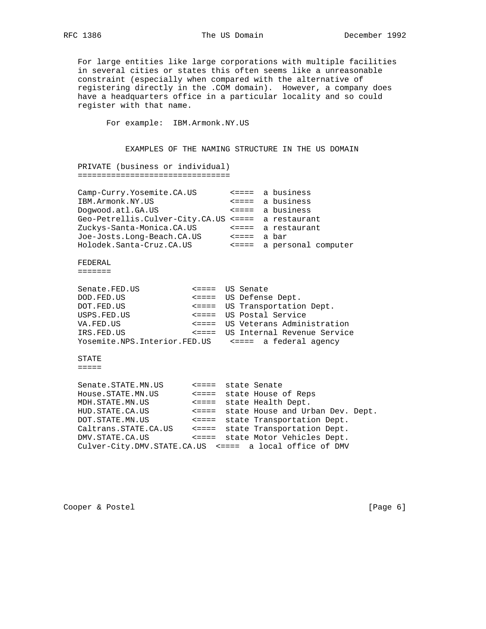For large entities like large corporations with multiple facilities in several cities or states this often seems like a unreasonable constraint (especially when compared with the alternative of registering directly in the .COM domain). However, a company does have a headquarters office in a particular locality and so could register with that name.

For example: IBM.Armonk.NY.US

 EXAMPLES OF THE NAMING STRUCTURE IN THE US DOMAIN PRIVATE (business or individual) ================================ Camp-Curry.Yosemite.CA.US <==== a business IBM.Armonk.NY.US <==== a business Dogwood.atl.GA.US <==== a business Geo-Petrellis.Culver-City.CA.US <==== a restaurant Zuckys-Santa-Monica.CA.US <==== a restaurant Joe-Josts.Long-Beach.CA.US <==== a bar Holodek.Santa-Cruz.CA.US <==== a personal computer FEDERAL ======= Senate.FED.US <==== US Senate DOD.FED.US <==== US Defense Dept.

```
 DOT.FED.US <==== US Transportation Dept.
 USPS.FED.US <==== US Postal Service
 VA.FED.US <==== US Veterans Administration
 IRS.FED.US <==== US Internal Revenue Service
 Yosemite.NPS.Interior.FED.US <==== a federal agency
```
STATE

=====

| Senate.STATE.MN.US                                      | <==== state Senate |                                        |  |
|---------------------------------------------------------|--------------------|----------------------------------------|--|
| House.STATE.MN.US                                       |                    | <==== state House of Reps              |  |
| MDH. STATE.MN.US                                        |                    | <==== state Health Dept.               |  |
| HUD. STATE.CA.US                                        |                    | <==== state House and Urban Dev. Dept. |  |
| DOT. STATE.MN.US                                        |                    | <==== state Transportation Dept.       |  |
| Caltrans.STATE.CA.US                                    |                    | <==== state Transportation Dept.       |  |
| DMV. STATE.CA.US                                        |                    | <==== state Motor Vehicles Dept.       |  |
| Culver-City.DMV.STATE.CA.US <==== a local office of DMV |                    |                                        |  |

Cooper & Postel [Page 6]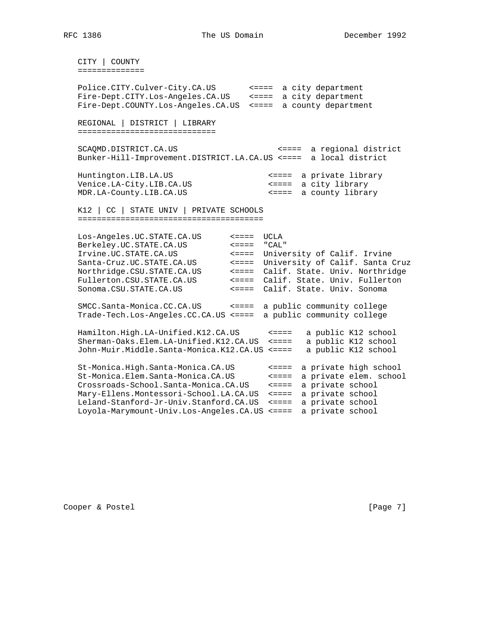CITY | COUNTY ============== Police.CITY.Culver-City.CA.US <==== a city department Fire-Dept.CITY.Los-Angeles.CA.US <==== a city department Fire-Dept.COUNTY.Los-Angeles.CA.US <==== a county department REGIONAL | DISTRICT | LIBRARY ============================= SCAQMD.DISTRICT.CA.US <==== a regional district Bunker-Hill-Improvement.DISTRICT.LA.CA.US <==== a local district Huntington.LIB.LA.US <==== a private library Venice.LA-City.LIB.CA.US <==== a city library MDR.LA-County.LIB.CA.US <==== a county library K12 | CC | STATE UNIV | PRIVATE SCHOOLS ======================================= Los-Angeles.UC.STATE.CA.US <==== UCLA Berkeley.UC.STATE.CA.US <==== "CAL" Irvine.UC.STATE.CA.US <==== University of Calif. Irvine Santa-Cruz.UC.STATE.CA.US <==== University of Calif. Santa Cruz Northridge.CSU.STATE.CA.US <==== Calif. State. Univ. Northridge Fullerton.CSU.STATE.CA.US <==== Calif. State. Univ. Fullerton Sonoma.CSU.STATE.CA.US <==== Calif. State. Univ. Sonoma SMCC.Santa-Monica.CC.CA.US <==== a public community college Trade-Tech.Los-Angeles.CC.CA.US <==== a public community college Hamilton.High.LA-Unified.K12.CA.US <==== a public K12 school Sherman-Oaks.Elem.LA-Unified.K12.CA.US <==== a public K12 school John-Muir.Middle.Santa-Monica.K12.CA.US <==== a public K12 school St-Monica.High.Santa-Monica.CA.US <==== a private high school St-Monica.Elem.Santa-Monica.CA.US <==== a private elem. school Crossroads-School.Santa-Monica.CA.US <==== a private school Mary-Ellens.Montessori-School.LA.CA.US <==== a private school Leland-Stanford-Jr-Univ.Stanford.CA.US <==== a private school Loyola-Marymount-Univ.Los-Angeles.CA.US <==== a private school

Cooper & Postel [Page 7]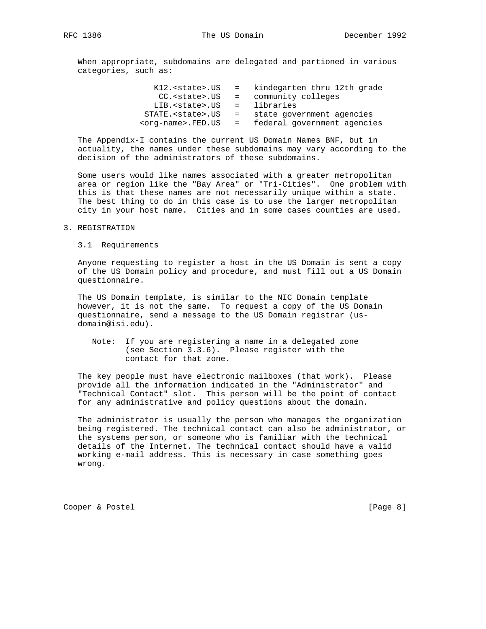When appropriate, subdomains are delegated and partioned in various categories, such as:

| K12. <state>.US</state>      | = kindegarten thru 12th grade |
|------------------------------|-------------------------------|
| CC. <state>.US</state>       | = community colleges          |
| LIB. <state>.US</state>      | = libraries                   |
| STATE. <state>.US</state>    | = state government agencies   |
| <org-name>.FED.US</org-name> | = federal government agencies |

 The Appendix-I contains the current US Domain Names BNF, but in actuality, the names under these subdomains may vary according to the decision of the administrators of these subdomains.

 Some users would like names associated with a greater metropolitan area or region like the "Bay Area" or "Tri-Cities". One problem with this is that these names are not necessarily unique within a state. The best thing to do in this case is to use the larger metropolitan city in your host name. Cities and in some cases counties are used.

#### 3. REGISTRATION

3.1 Requirements

 Anyone requesting to register a host in the US Domain is sent a copy of the US Domain policy and procedure, and must fill out a US Domain questionnaire.

 The US Domain template, is similar to the NIC Domain template however, it is not the same. To request a copy of the US Domain questionnaire, send a message to the US Domain registrar (us domain@isi.edu).

 Note: If you are registering a name in a delegated zone (see Section 3.3.6). Please register with the contact for that zone.

 The key people must have electronic mailboxes (that work). Please provide all the information indicated in the "Administrator" and "Technical Contact" slot. This person will be the point of contact for any administrative and policy questions about the domain.

 The administrator is usually the person who manages the organization being registered. The technical contact can also be administrator, or the systems person, or someone who is familiar with the technical details of the Internet. The technical contact should have a valid working e-mail address. This is necessary in case something goes wrong.

Cooper & Postel [Page 8]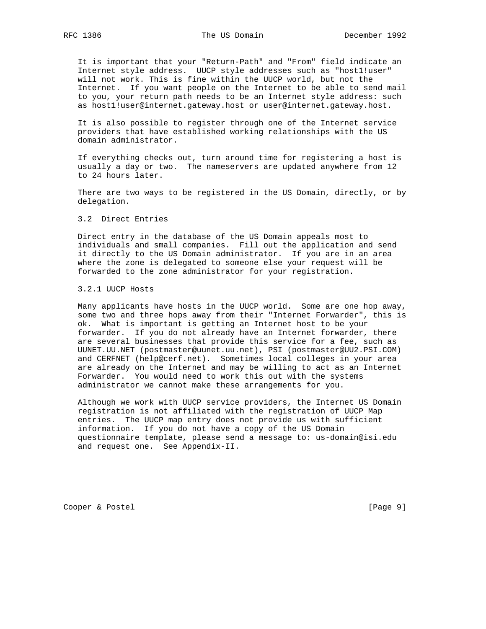It is important that your "Return-Path" and "From" field indicate an Internet style address. UUCP style addresses such as "host1!user" will not work. This is fine within the UUCP world, but not the Internet. If you want people on the Internet to be able to send mail to you, your return path needs to be an Internet style address: such as host1!user@internet.gateway.host or user@internet.gateway.host.

 It is also possible to register through one of the Internet service providers that have established working relationships with the US domain administrator.

 If everything checks out, turn around time for registering a host is usually a day or two. The nameservers are updated anywhere from 12 to 24 hours later.

 There are two ways to be registered in the US Domain, directly, or by delegation.

#### 3.2 Direct Entries

 Direct entry in the database of the US Domain appeals most to individuals and small companies. Fill out the application and send it directly to the US Domain administrator. If you are in an area where the zone is delegated to someone else your request will be forwarded to the zone administrator for your registration.

### 3.2.1 UUCP Hosts

 Many applicants have hosts in the UUCP world. Some are one hop away, some two and three hops away from their "Internet Forwarder", this is ok. What is important is getting an Internet host to be your forwarder. If you do not already have an Internet forwarder, there are several businesses that provide this service for a fee, such as UUNET.UU.NET (postmaster@uunet.uu.net), PSI (postmaster@UU2.PSI.COM) and CERFNET (help@cerf.net). Sometimes local colleges in your area are already on the Internet and may be willing to act as an Internet Forwarder. You would need to work this out with the systems administrator we cannot make these arrangements for you.

 Although we work with UUCP service providers, the Internet US Domain registration is not affiliated with the registration of UUCP Map entries. The UUCP map entry does not provide us with sufficient information. If you do not have a copy of the US Domain questionnaire template, please send a message to: us-domain@isi.edu and request one. See Appendix-II.

Cooper & Postel [Page 9]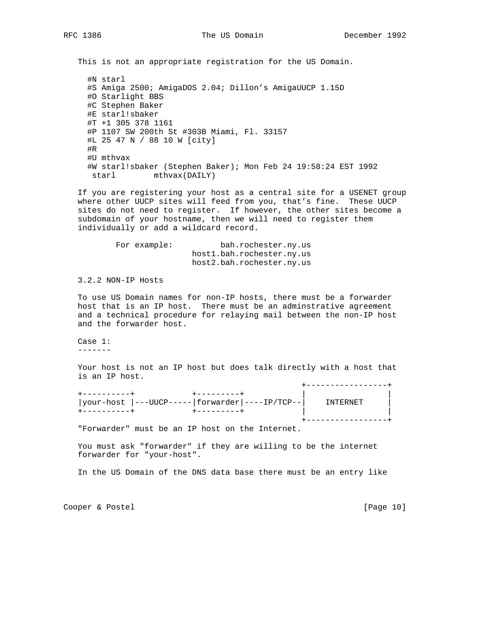This is not an appropriate registration for the US Domain.

 #N starl #S Amiga 2500; AmigaDOS 2.04; Dillon's AmigaUUCP 1.15D #O Starlight BBS #C Stephen Baker #E starl!sbaker #T +1 305 378 1161 #P 1107 SW 200th St #303B Miami, Fl. 33157 #L 25 47 N / 88 10 W [city] #R #U mthvax #W starl!sbaker (Stephen Baker); Mon Feb 24 19:58:24 EST 1992 starl mthvax(DAILY)

 If you are registering your host as a central site for a USENET group where other UUCP sites will feed from you, that's fine. These UUCP sites do not need to register. If however, the other sites become a subdomain of your hostname, then we will need to register them individually or add a wildcard record.

> For example: bah.rochester.ny.us host1.bah.rochester.ny.us host2.bah.rochester.ny.us

3.2.2 NON-IP Hosts

 To use US Domain names for non-IP hosts, there must be a forwarder host that is an IP host. There must be an adminstrative agreement and a technical procedure for relaying mail between the non-IP host and the forwarder host.

 Case 1: -------

 Your host is not an IP host but does talk directly with a host that is an IP host.

| your-host  ---UUCP----- forwarder ----IP/TCP-- | TNTERNET |
|------------------------------------------------|----------|
|                                                |          |
|                                                |          |

"Forwarder" must be an IP host on the Internet.

 You must ask "forwarder" if they are willing to be the internet forwarder for "your-host".

In the US Domain of the DNS data base there must be an entry like

Cooper & Postel [Page 10]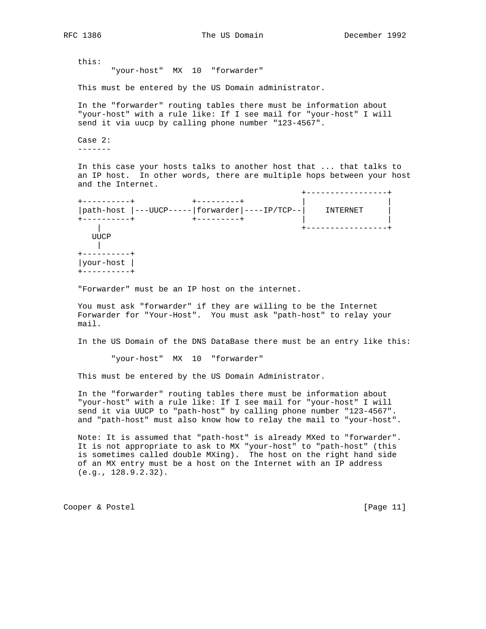+-----------------+

this:

"your-host" MX 10 "forwarder"

This must be entered by the US Domain administrator.

 In the "forwarder" routing tables there must be information about "your-host" with a rule like: If I see mail for "your-host" I will send it via uucp by calling phone number "123-4567".

 Case 2: -------

 In this case your hosts talks to another host that ... that talks to an IP host. In other words, there are multiple hops between your host and the Internet.

 +----------+ +---------+ | | |path-host |---UUCP-----|forwarder|----IP/TCP--| INTERNET | +----------+ +---------+ | | | +-----------------+ UUCP || || || || || +----------+ |your-host | +----------+

"Forwarder" must be an IP host on the internet.

 You must ask "forwarder" if they are willing to be the Internet Forwarder for "Your-Host". You must ask "path-host" to relay your mail.

In the US Domain of the DNS DataBase there must be an entry like this:

"your-host" MX 10 "forwarder"

This must be entered by the US Domain Administrator.

 In the "forwarder" routing tables there must be information about "your-host" with a rule like: If I see mail for "your-host" I will send it via UUCP to "path-host" by calling phone number "123-4567". and "path-host" must also know how to relay the mail to "your-host".

 Note: It is assumed that "path-host" is already MXed to "forwarder". It is not appropriate to ask to MX "your-host" to "path-host" (this is sometimes called double MXing). The host on the right hand side of an MX entry must be a host on the Internet with an IP address (e.g., 128.9.2.32).

Cooper & Postel [Page 11]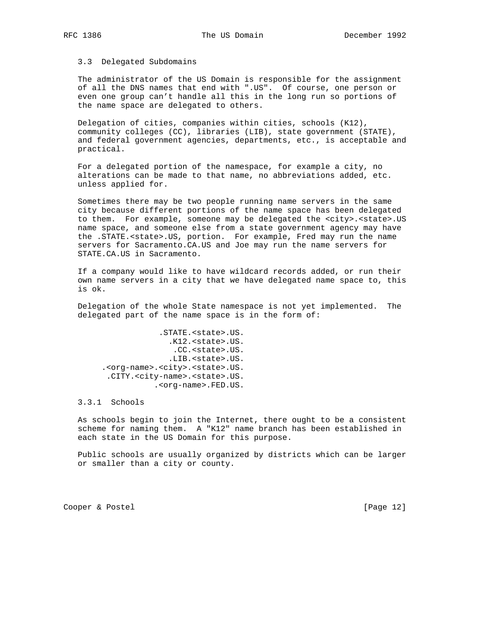#### 3.3 Delegated Subdomains

 The administrator of the US Domain is responsible for the assignment of all the DNS names that end with ".US". Of course, one person or even one group can't handle all this in the long run so portions of the name space are delegated to others.

 Delegation of cities, companies within cities, schools (K12), community colleges (CC), libraries (LIB), state government (STATE), and federal government agencies, departments, etc., is acceptable and practical.

 For a delegated portion of the namespace, for example a city, no alterations can be made to that name, no abbreviations added, etc. unless applied for.

 Sometimes there may be two people running name servers in the same city because different portions of the name space has been delegated to them. For example, someone may be delegated the <city>.<state>.US name space, and someone else from a state government agency may have the .STATE.<state>.US, portion. For example, Fred may run the name servers for Sacramento.CA.US and Joe may run the name servers for STATE.CA.US in Sacramento.

 If a company would like to have wildcard records added, or run their own name servers in a city that we have delegated name space to, this is ok.

 Delegation of the whole State namespace is not yet implemented. The delegated part of the name space is in the form of:

 .STATE.<state>.US. .K12.<state>.US. .CC.<state>.US. .LIB.<state>.US. .<org-name>.<city>.<state>.US. .CITY.<city-name>.<state>.US. .<org-name>.FED.US.

3.3.1 Schools

 As schools begin to join the Internet, there ought to be a consistent scheme for naming them. A "K12" name branch has been established in each state in the US Domain for this purpose.

 Public schools are usually organized by districts which can be larger or smaller than a city or county.

Cooper & Postel [Page 12]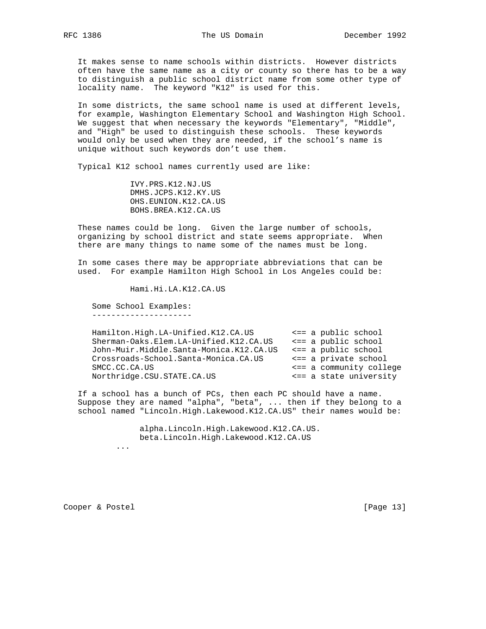It makes sense to name schools within districts. However districts often have the same name as a city or county so there has to be a way to distinguish a public school district name from some other type of locality name. The keyword "K12" is used for this.

 In some districts, the same school name is used at different levels, for example, Washington Elementary School and Washington High School. We suggest that when necessary the keywords "Elementary", "Middle", and "High" be used to distinguish these schools. These keywords would only be used when they are needed, if the school's name is unique without such keywords don't use them.

Typical K12 school names currently used are like:

 IVY.PRS.K12.NJ.US DMHS.JCPS.K12.KY.US OHS.EUNION.K12.CA.US BOHS.BREA.K12.CA.US

 These names could be long. Given the large number of schools, organizing by school district and state seems appropriate. When there are many things to name some of the names must be long.

 In some cases there may be appropriate abbreviations that can be used. For example Hamilton High School in Los Angeles could be:

Hami.Hi.LA.K12.CA.US

 Some School Examples: ---------------------

| Hamilton.High.LA-Unified.K12.CA.US      |  | $\leq$ = a public school |
|-----------------------------------------|--|--------------------------|
| Sherman-Oaks.Elem.LA-Unified.K12.CA.US  |  | $\leq$ = a public school |
| John-Muir.Middle.Santa-Monica.K12.CA.US |  | $\leq$ = a public school |
| Crossroads-School.Santa-Monica.CA.US    |  | <== a private school     |
| SMCC.CC.CA.US                           |  | <== a community college  |
| Northridge.CSU.STATE.CA.US              |  | <== a state university   |
|                                         |  |                          |

 If a school has a bunch of PCs, then each PC should have a name. Suppose they are named "alpha", "beta", ... then if they belong to a school named "Lincoln.High.Lakewood.K12.CA.US" their names would be:

> alpha.Lincoln.High.Lakewood.K12.CA.US. beta.Lincoln.High.Lakewood.K12.CA.US ...

Cooper & Postel [Page 13]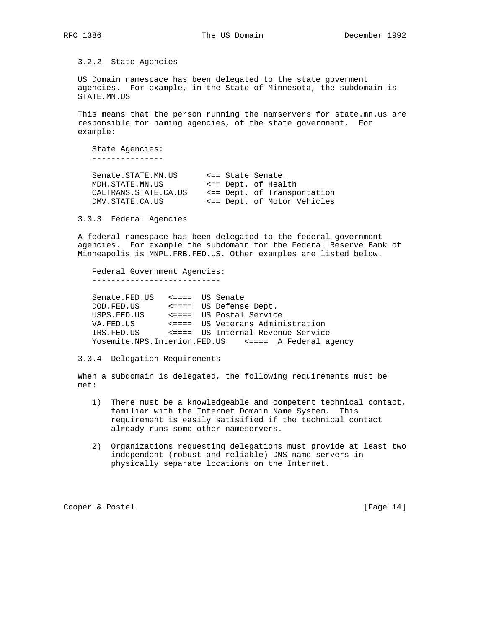3.2.2 State Agencies

 US Domain namespace has been delegated to the state goverment agencies. For example, in the State of Minnesota, the subdomain is STATE.MN.US

 This means that the person running the namservers for state.mn.us are responsible for naming agencies, of the state govermnent. For example:

 State Agencies: ---------------

| Senate.STATE.MN.US    | <== State Senate            |
|-----------------------|-----------------------------|
| MDH. STATE.MN.US      | <== Dept. of Health         |
| CALTRANS. STATE.CA.US | <== Dept. of Transportation |
| DMV.STATE.CA.US       | <== Dept. of Motor Vehicles |

3.3.3 Federal Agencies

 A federal namespace has been delegated to the federal government agencies. For example the subdomain for the Federal Reserve Bank of Minneapolis is MNPL.FRB.FED.US. Other examples are listed below.

 Federal Government Agencies: ---------------------------

 Senate.FED.US <==== US Senate DOD.FED.US <==== US Defense Dept. USPS.FED.US <==== US Postal Service VA.FED.US <==== US Veterans Administration IRS.FED.US <==== US Internal Revenue Service Yosemite.NPS.Interior.FED.US <==== A Federal agency

3.3.4 Delegation Requirements

 When a subdomain is delegated, the following requirements must be met:

- 1) There must be a knowledgeable and competent technical contact, familiar with the Internet Domain Name System. This requirement is easily satisified if the technical contact already runs some other nameservers.
- 2) Organizations requesting delegations must provide at least two independent (robust and reliable) DNS name servers in physically separate locations on the Internet.

Cooper & Postel [Page 14]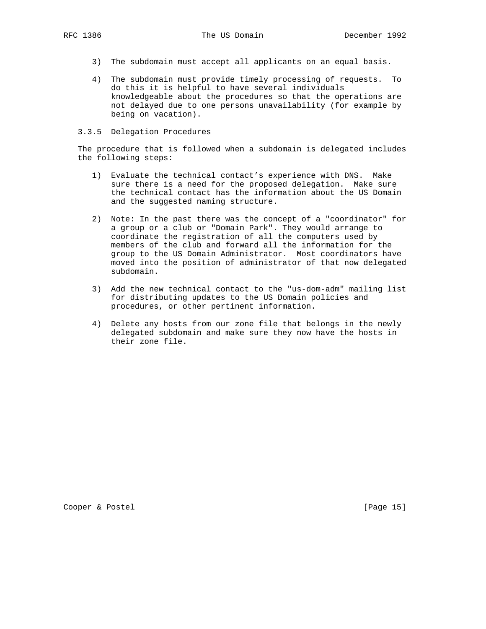- 3) The subdomain must accept all applicants on an equal basis.
- 4) The subdomain must provide timely processing of requests. To do this it is helpful to have several individuals knowledgeable about the procedures so that the operations are not delayed due to one persons unavailability (for example by being on vacation).

#### 3.3.5 Delegation Procedures

 The procedure that is followed when a subdomain is delegated includes the following steps:

- 1) Evaluate the technical contact's experience with DNS. Make sure there is a need for the proposed delegation. Make sure the technical contact has the information about the US Domain and the suggested naming structure.
- 2) Note: In the past there was the concept of a "coordinator" for a group or a club or "Domain Park". They would arrange to coordinate the registration of all the computers used by members of the club and forward all the information for the group to the US Domain Administrator. Most coordinators have moved into the position of administrator of that now delegated subdomain.
- 3) Add the new technical contact to the "us-dom-adm" mailing list for distributing updates to the US Domain policies and procedures, or other pertinent information.
- 4) Delete any hosts from our zone file that belongs in the newly delegated subdomain and make sure they now have the hosts in their zone file.

Cooper & Postel [Page 15]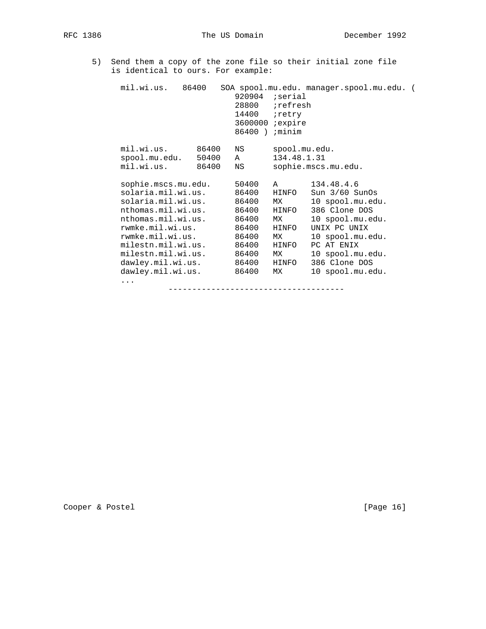5) Send them a copy of the zone file so their initial zone file is identical to ours. For example:

| mil.wi.us. 86400                                                                                                                                                                                                                               |                | 920904<br>28800 ;refresh<br>14400 retry<br>3600000 <i>i</i> expire<br>86400)                    | serial;<br><i>i</i> minim                                                              | SOA spool.mu.edu. manager.spool.mu.edu. (                                                                                                                                                          |  |
|------------------------------------------------------------------------------------------------------------------------------------------------------------------------------------------------------------------------------------------------|----------------|-------------------------------------------------------------------------------------------------|----------------------------------------------------------------------------------------|----------------------------------------------------------------------------------------------------------------------------------------------------------------------------------------------------|--|
| mil.wi.us.<br>spool.mu.edu. 50400<br>mil.wi.us.                                                                                                                                                                                                | 86400<br>86400 | NS<br>A<br>NS                                                                                   | spool.mu.edu.<br>134.48.1.31                                                           | sophie.mscs.mu.edu.                                                                                                                                                                                |  |
| sophie.mscs.mu.edu.<br>solaria.mil.wi.us.<br>solaria.mil.wi.us.<br>nthomas.mil.wi.us.<br>nthomas.mil.wi.us.<br>rwmke.mil.wi.us.<br>rwmke.mil.wi.us.<br>milestn.mil.wi.us.<br>milestn.mil.wi.us.<br>dawley.mil.wi.us.<br>dawley.mil.wi.us.<br>. |                | 50400<br>86400<br>86400<br>86400<br>86400<br>86400<br>86400<br>86400<br>86400<br>86400<br>86400 | $\mathbb A$<br>HINFO<br>МX<br>HINFO<br>МX<br>HINFO<br>МX<br>HINFO<br>MX<br>HINFO<br>МX | 134.48.4.6<br>Sun $3/60$ SunOs<br>10 spool.mu.edu.<br>386 Clone DOS<br>10 spool.mu.edu.<br>UNIX PC UNIX<br>10 spool.mu.edu.<br>PC AT ENIX<br>10 spool.mu.edu.<br>386 Clone DOS<br>10 spool.mu.edu. |  |
|                                                                                                                                                                                                                                                |                |                                                                                                 |                                                                                        |                                                                                                                                                                                                    |  |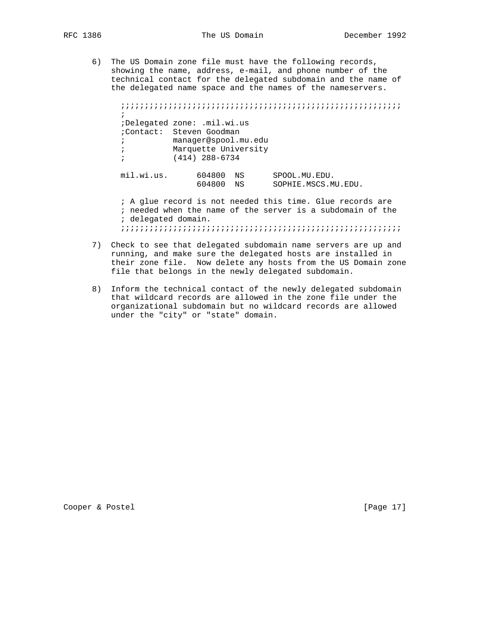6) The US Domain zone file must have the following records, showing the name, address, e-mail, and phone number of the technical contact for the delegated subdomain and the name of the delegated name space and the names of the nameservers.

 ;;;;;;;;;;;;;;;;;;;;;;;;;;;;;;;;;;;;;;;;;;;;;;;;;;;;;;;;;;;  $\mathcal{L}^{\text{max}}$  ;Delegated zone: .mil.wi.us ;Contact: Steven Goodman ; manager@spool.mu.edu ; Marquette University ; (414) 288-6734 mil.wi.us. 604800 NS SPOOL.MU.EDU. 604800 NS SOPHIE.MSCS.MU.EDU. ; A glue record is not needed this time. Glue records are ; needed when the name of the server is a subdomain of the

; delegated domain.

;;;;;;;;;;;;;;;;;;;;;;;;;;;;;;;;;;;;;;;;;;;;;;;;;;;;;;;;;;;

- 7) Check to see that delegated subdomain name servers are up and running, and make sure the delegated hosts are installed in their zone file. Now delete any hosts from the US Domain zone file that belongs in the newly delegated subdomain.
- 8) Inform the technical contact of the newly delegated subdomain that wildcard records are allowed in the zone file under the organizational subdomain but no wildcard records are allowed under the "city" or "state" domain.

Cooper & Postel [Page 17]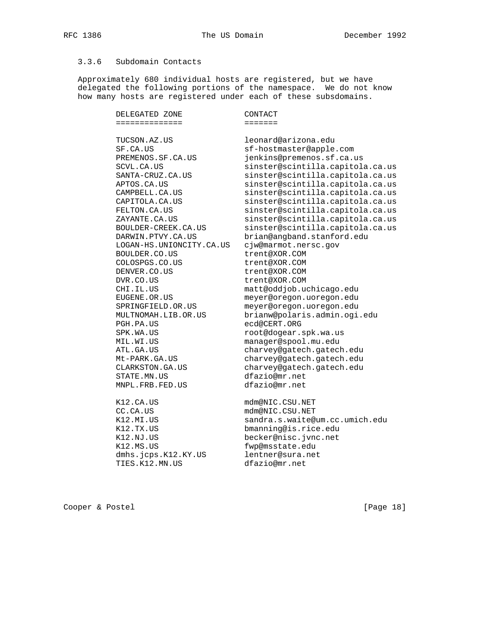## 3.3.6 Subdomain Contacts

 Approximately 680 individual hosts are registered, but we have delegated the following portions of the namespace. We do not know how many hosts are registered under each of these subsdomains.

| DELEGATED ZONE                                                                                                                                                                                                                                                                                                                          | CONTACT                                                                                                                                                                                                                                                                                                                                                                                                                                                                  |
|-----------------------------------------------------------------------------------------------------------------------------------------------------------------------------------------------------------------------------------------------------------------------------------------------------------------------------------------|--------------------------------------------------------------------------------------------------------------------------------------------------------------------------------------------------------------------------------------------------------------------------------------------------------------------------------------------------------------------------------------------------------------------------------------------------------------------------|
| =============                                                                                                                                                                                                                                                                                                                           | =======                                                                                                                                                                                                                                                                                                                                                                                                                                                                  |
| TUCSON.AZ.US<br>SF.CA.US<br>PREMENOS.SF.CA.US<br>SCVL.CA.US<br>SANTA-CRUZ.CA.US<br>APTOS.CA.US<br>CAMPBELL.CA.US<br>CAPITOLA.CA.US<br>FELTON.CA.US                                                                                                                                                                                      | leonard@arizona.edu<br>sf-hostmaster@apple.com<br>jenkins@premenos.sf.ca.us<br>sinster@scintilla.capitola.ca.us<br>sinster@scintilla.capitola.ca.us<br>sinster@scintilla.capitola.ca.us<br>sinster@scintilla.capitola.ca.us<br>sinster@scintilla.capitola.ca.us<br>sinster@scintilla.capitola.ca.us                                                                                                                                                                      |
| ZAYANTE.CA.US                                                                                                                                                                                                                                                                                                                           | sinster@scintilla.capitola.ca.us                                                                                                                                                                                                                                                                                                                                                                                                                                         |
| BOULDER-CREEK.CA.US<br>DARWIN.PTVY.CA.US<br>LOGAN-HS.UNIONCITY.CA.US<br>BOULDER.CO.US<br>COLOSPGS.CO.US<br>DENVER.CO.US<br>DVR.CO.US<br>CHI.IL.US<br>EUGENE.OR.US<br>SPRINGFIELD.OR.US<br>MULTNOMAH.LIB.OR.US<br>PGH.PA.US<br>SPK.WA.US<br>MIL.WI.US<br>ATL.GA.US<br>Mt-PARK.GA.US<br>CLARKSTON.GA.US<br>STATE.MN.US<br>MNPL.FRB.FED.US | sinster@scintilla.capitola.ca.us<br>brian@angband.stanford.edu<br>cjw@marmot.nersc.gov<br>trent@XOR.COM<br>trent@XOR.COM<br>trent@XOR.COM<br>trent@XOR.COM<br>matt@oddjob.uchicago.edu<br>meyer@oregon.uoregon.edu<br>meyer@oregon.uoregon.edu<br>brianw@polaris.admin.ogi.edu<br>ecd@CERT.ORG<br>root@dogear.spk.wa.us<br>manager@spool.mu.edu<br>charvey@gatech.gatech.edu<br>charvey@gatech.gatech.edu<br>charvey@gatech.gatech.edu<br>dfazio@mr.net<br>dfazio@mr.net |
| K12.CA.US<br>CC.CA.US<br>K12.MI.US<br>K12.TX.US<br>K12.NJ.US<br>K12.MS.US<br>dmhs.jcps.K12.KY.US<br>TIES.K12.MN.US                                                                                                                                                                                                                      | mdm@NIC.CSU.NET<br>mdm@NIC.CSU.NET<br>sandra.s.waite@um.cc.umich.edu<br>bmanning@is.rice.edu<br>becker@nisc.jvnc.net<br>fwp@msstate.edu<br>lentner@sura.net<br>dfazio@mr.net                                                                                                                                                                                                                                                                                             |

Cooper & Postel [Page 18]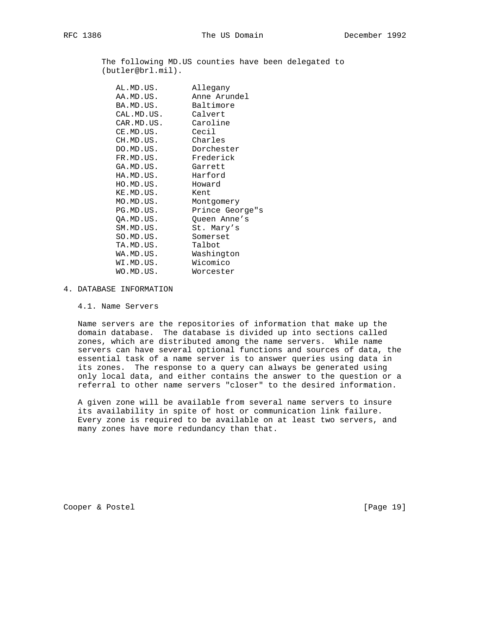The following MD.US counties have been delegated to (butler@brl.mil).

| AL.MD.US.  | Allegany        |
|------------|-----------------|
| AA.MD.US.  | Anne Arundel    |
| BA.MD.US.  | Baltimore       |
| CAL.MD.US. | Calvert         |
| CAR.MD.US. | Caroline        |
| CE.MD.US.  | Cecil           |
| CH.MD.US.  | Charles         |
| DO.MD.US.  | Dorchester      |
| FR.MD.US.  | Frederick       |
| GA.MD.US.  | Garrett         |
| HA.MD.US.  | Harford         |
| HO.MD.US.  | Howard          |
| KE.MD.US.  | Kent            |
| MO.MD.US.  | Montgomery      |
| PG.MD.US.  | Prince George"s |
| QA.MD.US.  | Queen Anne's    |
| SM.MD.US.  | St. Mary's      |
| SO.MD.US.  | Somerset        |
| TA.MD.US.  | Talbot          |
| WA.MD.US.  | Washington      |
| WI.MD.US.  | Wicomico        |
| WO.MD.US.  | Worcester       |

### 4. DATABASE INFORMATION

4.1. Name Servers

 Name servers are the repositories of information that make up the domain database. The database is divided up into sections called zones, which are distributed among the name servers. While name servers can have several optional functions and sources of data, the essential task of a name server is to answer queries using data in its zones. The response to a query can always be generated using only local data, and either contains the answer to the question or a referral to other name servers "closer" to the desired information.

 A given zone will be available from several name servers to insure its availability in spite of host or communication link failure. Every zone is required to be available on at least two servers, and many zones have more redundancy than that.

Cooper & Postel [Page 19]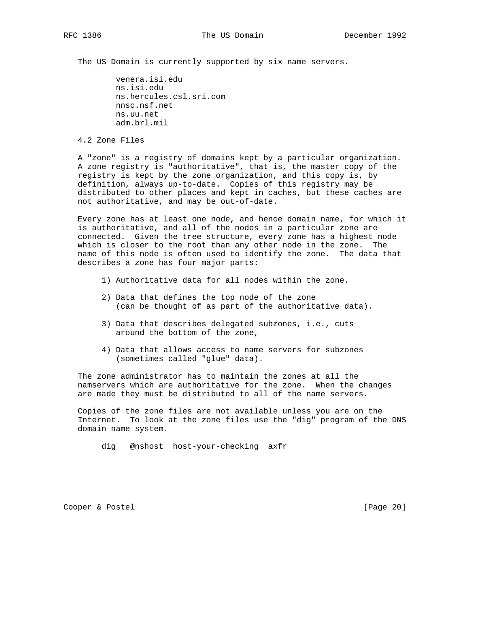The US Domain is currently supported by six name servers.

 venera.isi.edu ns.isi.edu ns.hercules.csl.sri.com nnsc.nsf.net ns.uu.net adm.brl.mil

4.2 Zone Files

 A "zone" is a registry of domains kept by a particular organization. A zone registry is "authoritative", that is, the master copy of the registry is kept by the zone organization, and this copy is, by definition, always up-to-date. Copies of this registry may be distributed to other places and kept in caches, but these caches are not authoritative, and may be out-of-date.

 Every zone has at least one node, and hence domain name, for which it is authoritative, and all of the nodes in a particular zone are connected. Given the tree structure, every zone has a highest node which is closer to the root than any other node in the zone. The name of this node is often used to identify the zone. The data that describes a zone has four major parts:

- 1) Authoritative data for all nodes within the zone.
- 2) Data that defines the top node of the zone (can be thought of as part of the authoritative data).
- 3) Data that describes delegated subzones, i.e., cuts around the bottom of the zone,
- 4) Data that allows access to name servers for subzones (sometimes called "glue" data).

 The zone administrator has to maintain the zones at all the namservers which are authoritative for the zone. When the changes are made they must be distributed to all of the name servers.

 Copies of the zone files are not available unless you are on the Internet. To look at the zone files use the "dig" program of the DNS domain name system.

dig @nshost host-your-checking axfr

Cooper & Postel [Page 20]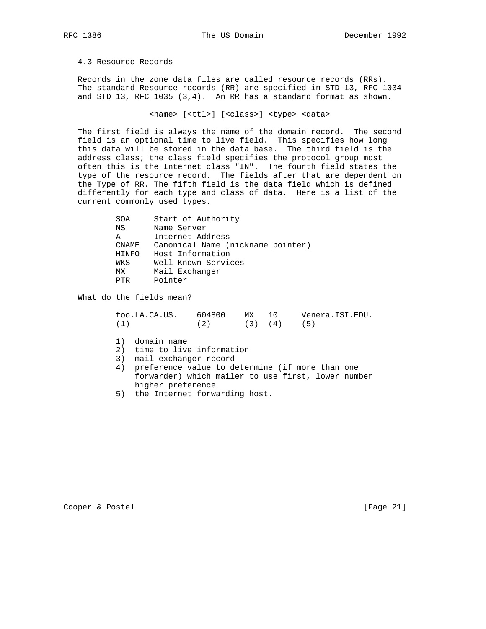4.3 Resource Records

 Records in the zone data files are called resource records (RRs). The standard Resource records (RR) are specified in STD 13, RFC 1034 and STD 13, RFC 1035 (3,4). An RR has a standard format as shown.

<name> [<ttl>] [<class>] <type> <data>

 The first field is always the name of the domain record. The second field is an optional time to live field. This specifies how long this data will be stored in the data base. The third field is the address class; the class field specifies the protocol group most often this is the Internet class "IN". The fourth field states the type of the resource record. The fields after that are dependent on the Type of RR. The fifth field is the data field which is defined differently for each type and class of data. Here is a list of the current commonly used types.

| SOA   | Start of Authority                |
|-------|-----------------------------------|
| ΝS    | Name Server                       |
| Α     | Internet Address                  |
| CNAME | Canonical Name (nickname pointer) |
| HINFO | Host Information                  |
| WKS   | Well Known Services               |
| МX    | Mail Exchanger                    |
| PTR   | Pointer                           |
|       |                                   |

What do the fields mean?

 foo.LA.CA.US. 604800 MX 10 Venera.ISI.EDU. (1)  $(2)$   $(3)$   $(4)$   $(5)$ 

- 1) domain name
- 2) time to live information
- 3) mail exchanger record
- 4) preference value to determine (if more than one forwarder) which mailer to use first, lower number higher preference
- 5) the Internet forwarding host.

Cooper & Postel [Page 21]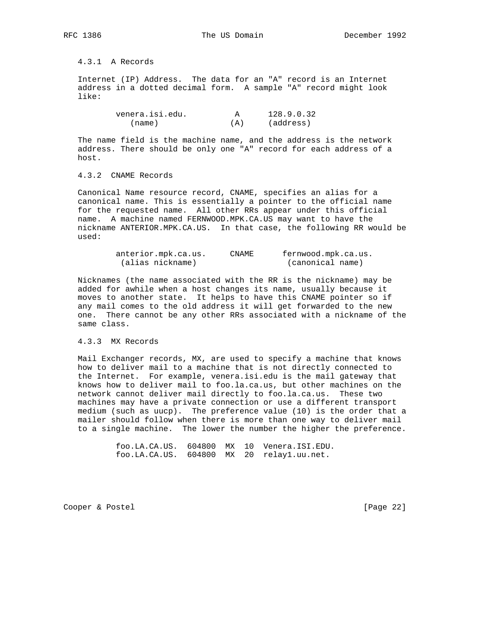4.3.1 A Records

 Internet (IP) Address. The data for an "A" record is an Internet address in a dotted decimal form. A sample "A" record might look like:

| venera.isi.edu. |     | 128.9.0.32 |
|-----------------|-----|------------|
| (name)          | (A) | (address)  |

 The name field is the machine name, and the address is the network address. There should be only one "A" record for each address of a host.

## 4.3.2 CNAME Records

 Canonical Name resource record, CNAME, specifies an alias for a canonical name. This is essentially a pointer to the official name for the requested name. All other RRs appear under this official name. A machine named FERNWOOD.MPK.CA.US may want to have the nickname ANTERIOR.MPK.CA.US. In that case, the following RR would be used:

| anterior.mpk.ca.us. | <b>CNAME</b> | fernwood.mpk.ca.us. |
|---------------------|--------------|---------------------|
| (alias nickname)    |              | (canonical name)    |

 Nicknames (the name associated with the RR is the nickname) may be added for awhile when a host changes its name, usually because it moves to another state. It helps to have this CNAME pointer so if any mail comes to the old address it will get forwarded to the new one. There cannot be any other RRs associated with a nickname of the same class.

#### 4.3.3 MX Records

 Mail Exchanger records, MX, are used to specify a machine that knows how to deliver mail to a machine that is not directly connected to the Internet. For example, venera.isi.edu is the mail gateway that knows how to deliver mail to foo.la.ca.us, but other machines on the network cannot deliver mail directly to foo.la.ca.us. These two machines may have a private connection or use a different transport medium (such as uucp). The preference value (10) is the order that a mailer should follow when there is more than one way to deliver mail to a single machine. The lower the number the higher the preference.

> foo.LA.CA.US. 604800 MX 10 Venera.ISI.EDU. foo.LA.CA.US. 604800 MX 20 relay1.uu.net.

Cooper & Postel [Page 22]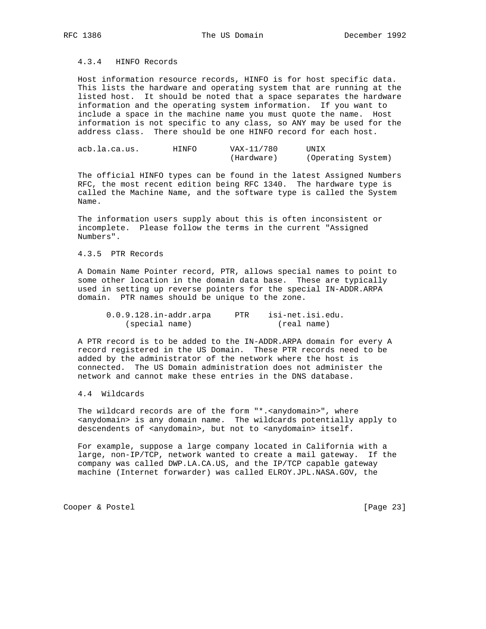## 4.3.4 HINFO Records

 Host information resource records, HINFO is for host specific data. This lists the hardware and operating system that are running at the listed host. It should be noted that a space separates the hardware information and the operating system information. If you want to include a space in the machine name you must quote the name. Host information is not specific to any class, so ANY may be used for the address class. There should be one HINFO record for each host.

| acb.la.ca.us. | HINFO | VAX-11/780 | UNIX               |
|---------------|-------|------------|--------------------|
|               |       | (Hardware) | (Operating System) |

 The official HINFO types can be found in the latest Assigned Numbers RFC, the most recent edition being RFC 1340. The hardware type is called the Machine Name, and the software type is called the System Name.

 The information users supply about this is often inconsistent or incomplete. Please follow the terms in the current "Assigned Numbers".

### 4.3.5 PTR Records

 A Domain Name Pointer record, PTR, allows special names to point to some other location in the domain data base. These are typically used in setting up reverse pointers for the special IN-ADDR.ARPA domain. PTR names should be unique to the zone.

| $0.0.9.128.in-addr.array$ | PTR | isi-net.isi.edu. |
|---------------------------|-----|------------------|
| (special name)            |     | (real name)      |

 A PTR record is to be added to the IN-ADDR.ARPA domain for every A record registered in the US Domain. These PTR records need to be added by the administrator of the network where the host is connected. The US Domain administration does not administer the network and cannot make these entries in the DNS database.

## 4.4 Wildcards

 The wildcard records are of the form "\*.<anydomain>", where <anydomain> is any domain name. The wildcards potentially apply to descendents of <anydomain>, but not to <anydomain> itself.

 For example, suppose a large company located in California with a large, non-IP/TCP, network wanted to create a mail gateway. If the company was called DWP.LA.CA.US, and the IP/TCP capable gateway machine (Internet forwarder) was called ELROY.JPL.NASA.GOV, the

Cooper & Postel [Page 23]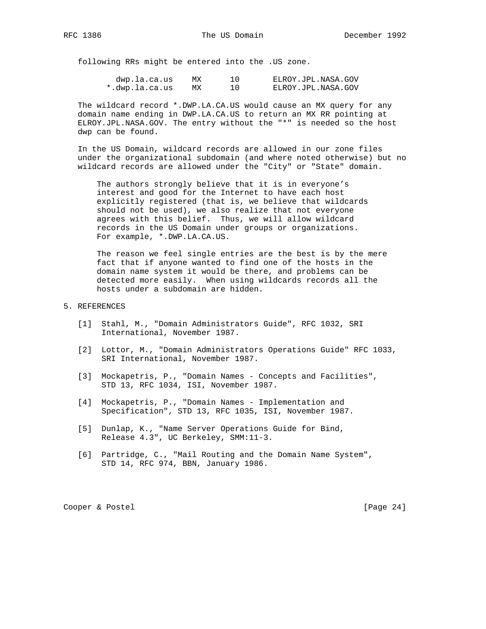following RRs might be entered into the .US zone.

| dwp.la.ca.us   | МX | ELROY.JPL.NASA.GOV |
|----------------|----|--------------------|
| *.dwp.la.ca.us | МX | ELROY.JPL.NASA.GOV |

 The wildcard record \*.DWP.LA.CA.US would cause an MX query for any domain name ending in DWP.LA.CA.US to return an MX RR pointing at ELROY.JPL.NASA.GOV. The entry without the "\*" is needed so the host dwp can be found.

 In the US Domain, wildcard records are allowed in our zone files under the organizational subdomain (and where noted otherwise) but no wildcard records are allowed under the "City" or "State" domain.

 The authors strongly believe that it is in everyone's interest and good for the Internet to have each host explicitly registered (that is, we believe that wildcards should not be used), we also realize that not everyone agrees with this belief. Thus, we will allow wildcard records in the US Domain under groups or organizations. For example, \*.DWP.LA.CA.US.

 The reason we feel single entries are the best is by the mere fact that if anyone wanted to find one of the hosts in the domain name system it would be there, and problems can be detected more easily. When using wildcards records all the hosts under a subdomain are hidden.

## 5. REFERENCES

- [1] Stahl, M., "Domain Administrators Guide", RFC 1032, SRI International, November 1987.
- [2] Lottor, M., "Domain Administrators Operations Guide" RFC 1033, SRI International, November 1987.
- [3] Mockapetris, P., "Domain Names Concepts and Facilities", STD 13, RFC 1034, ISI, November 1987.
- [4] Mockapetris, P., "Domain Names Implementation and Specification", STD 13, RFC 1035, ISI, November 1987.
- [5] Dunlap, K., "Name Server Operations Guide for Bind, Release 4.3", UC Berkeley, SMM:11-3.
- [6] Partridge, C., "Mail Routing and the Domain Name System", STD 14, RFC 974, BBN, January 1986.

Cooper & Postel [Page 24]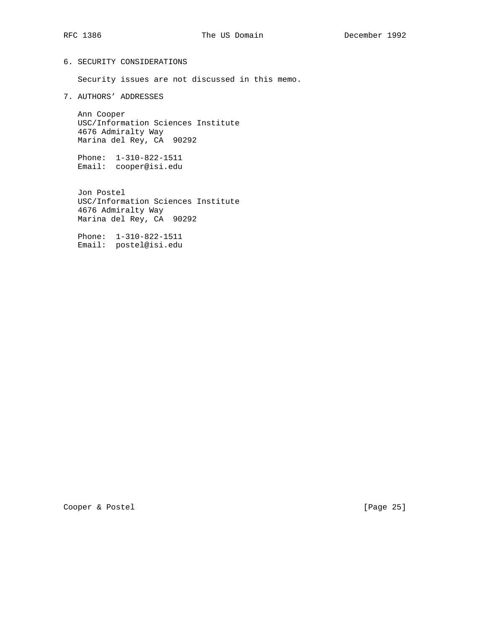## 6. SECURITY CONSIDERATIONS

Security issues are not discussed in this memo.

7. AUTHORS' ADDRESSES

 Ann Cooper USC/Information Sciences Institute 4676 Admiralty Way Marina del Rey, CA 90292

 Phone: 1-310-822-1511 Email: cooper@isi.edu

 Jon Postel USC/Information Sciences Institute 4676 Admiralty Way Marina del Rey, CA 90292

 Phone: 1-310-822-1511 Email: postel@isi.edu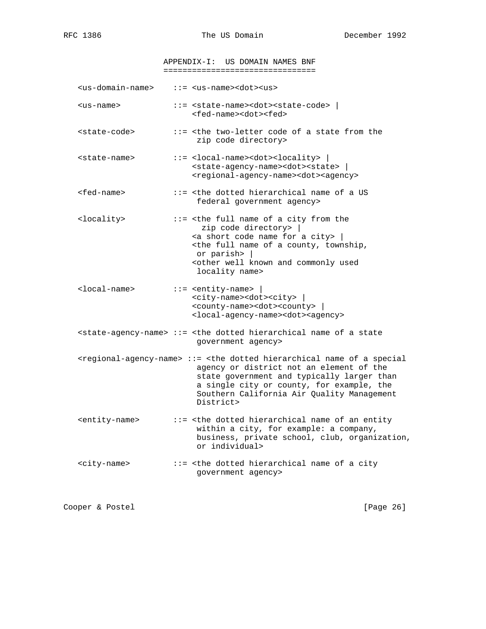APPENDIX-I: US DOMAIN NAMES BNF ================================

<us-domain-name> ::= <us-name><dot><us>

- <us-name> ::= <state-name><dot><state-code> | <fed-name><dot><fed>
- <state-code> ::= <the two-letter code of a state from the zip code directory>
- <state-name> ::= <local-name><dot><locality> | <state-agency-name><dot><state> | <regional-agency-name><dot><agency>
- <fed-name> ::= <the dotted hierarchical name of a US federal government agency>
- <locality> ::= <the full name of a city from the zip code directory> |  $\leq$  a short code name for a city> | <the full name of a county, township, or parish> | <other well known and commonly used locality name>
- <local-name> ::= <entity-name> | <city-name><dot><city> | <county-name><dot><county> | <local-agency-name><dot><agency>
- $\text{state-agency-name}$  ::= <the dotted hierarchical name of a state government agency>
- <regional-agency-name> ::= <the dotted hierarchical name of a special agency or district not an element of the state government and typically larger than a single city or county, for example, the Southern California Air Quality Management District>
- <entity-name> ::= <the dotted hierarchical name of an entity within a city, for example: a company, business, private school, club, organization, or individual>
- <city-name> ::= <the dotted hierarchical name of a city government agency>

Cooper & Postel [Page 26]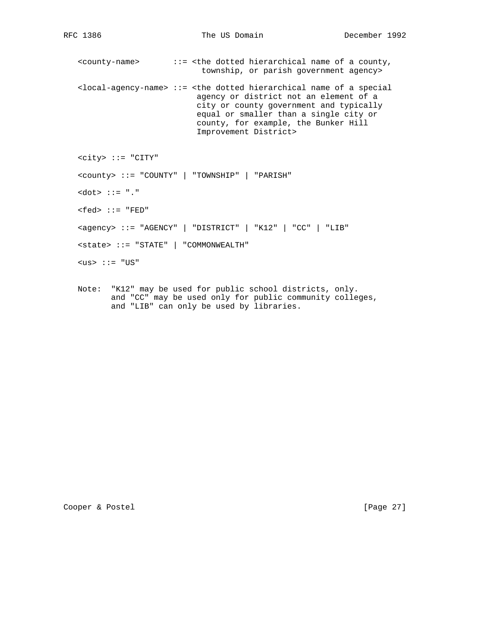<county-name> ::= <the dotted hierarchical name of a county, township, or parish government agency>

 <local-agency-name> ::= <the dotted hierarchical name of a special agency or district not an element of a city or county government and typically equal or smaller than a single city or county, for example, the Bunker Hill Improvement District>

<city> ::= "CITY"

<county> ::= "COUNTY" | "TOWNSHIP" | "PARISH"

<dot> ::= "."

 $<$ fed>  $::=$  "FED"

<agency> ::= "AGENCY" | "DISTRICT" | "K12" | "CC" | "LIB"

<state> ::= "STATE" | "COMMONWEALTH"

 $<$ us> ::= "US"

 Note: "K12" may be used for public school districts, only. and "CC" may be used only for public community colleges, and "LIB" can only be used by libraries.

Cooper & Postel [Page 27]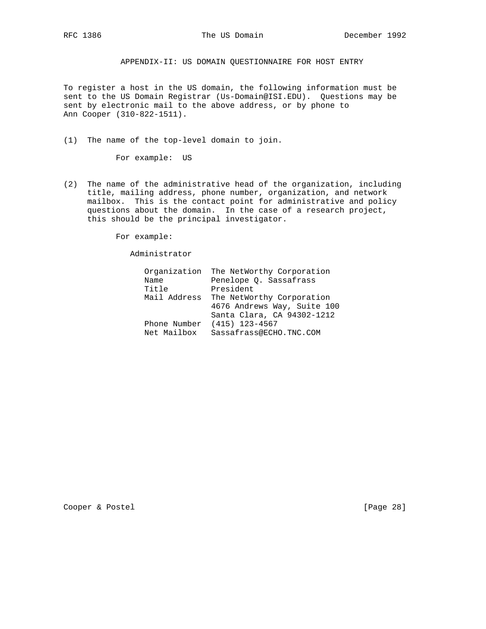APPENDIX-II: US DOMAIN QUESTIONNAIRE FOR HOST ENTRY

To register a host in the US domain, the following information must be sent to the US Domain Registrar (Us-Domain@ISI.EDU). Questions may be sent by electronic mail to the above address, or by phone to Ann Cooper (310-822-1511).

(1) The name of the top-level domain to join.

For example: US

(2) The name of the administrative head of the organization, including title, mailing address, phone number, organization, and network mailbox. This is the contact point for administrative and policy questions about the domain. In the case of a research project, this should be the principal investigator.

For example:

Administrator

|              | Organization The NetWorthy Corporation |
|--------------|----------------------------------------|
| Name         | Penelope Q. Sassafrass                 |
| Title        | President                              |
| Mail Address | The NetWorthy Corporation              |
|              | 4676 Andrews Way, Suite 100            |
|              | Santa Clara, CA 94302-1212             |
|              | Phone Number (415) 123-4567            |
| Net Mailbox  | Sassafrass@ECHO.TNC.COM                |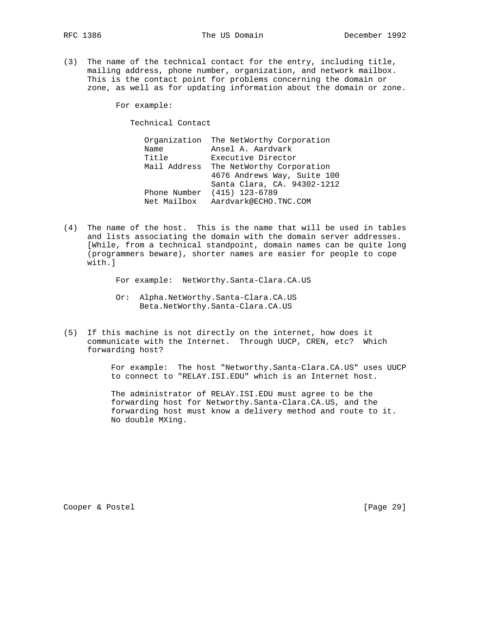- 
- (3) The name of the technical contact for the entry, including title, mailing address, phone number, organization, and network mailbox. This is the contact point for problems concerning the domain or zone, as well as for updating information about the domain or zone.

For example:

Technical Contact

 Organization The NetWorthy Corporation Name Ansel A. Aardvark Title Executive Director Mail Address The NetWorthy Corporation 4676 Andrews Way, Suite 100 Santa Clara, CA. 94302-1212 Phone Number (415) 123-6789 Net Mailbox Aardvark@ECHO.TNC.COM

(4) The name of the host. This is the name that will be used in tables and lists associating the domain with the domain server addresses. [While, from a technical standpoint, domain names can be quite long (programmers beware), shorter names are easier for people to cope with.]

For example: NetWorthy.Santa-Clara.CA.US

- Or: Alpha.NetWorthy.Santa-Clara.CA.US Beta.NetWorthy.Santa-Clara.CA.US
- (5) If this machine is not directly on the internet, how does it communicate with the Internet. Through UUCP, CREN, etc? Which forwarding host?

 For example: The host "Networthy.Santa-Clara.CA.US" uses UUCP to connect to "RELAY.ISI.EDU" which is an Internet host.

 The administrator of RELAY.ISI.EDU must agree to be the forwarding host for Networthy.Santa-Clara.CA.US, and the forwarding host must know a delivery method and route to it. No double MXing.

Cooper & Postel [Page 29]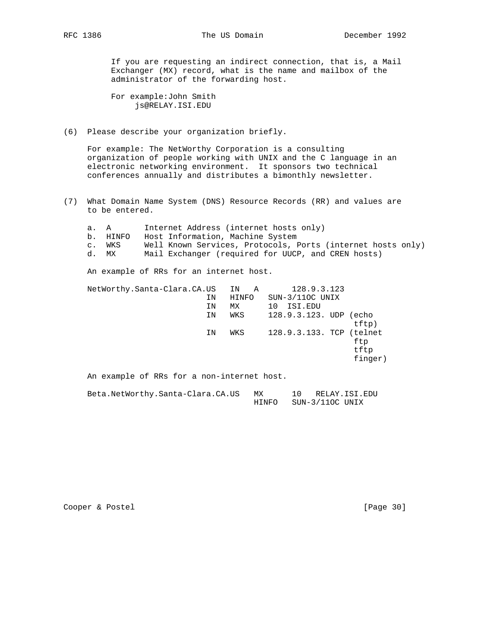If you are requesting an indirect connection, that is, a Mail Exchanger (MX) record, what is the name and mailbox of the administrator of the forwarding host.

 For example:John Smith js@RELAY.ISI.EDU

(6) Please describe your organization briefly.

 For example: The NetWorthy Corporation is a consulting organization of people working with UNIX and the C language in an electronic networking environment. It sponsors two technical conferences annually and distributes a bimonthly newsletter.

(7) What Domain Name System (DNS) Resource Records (RR) and values are to be entered.

| a.             | A     | Internet Address (internet hosts only)                      |    |       |  |  |                          |         |  |
|----------------|-------|-------------------------------------------------------------|----|-------|--|--|--------------------------|---------|--|
| b.             | HINFO | Host Information, Machine System                            |    |       |  |  |                          |         |  |
| $\mathsf{C}$ . | WKS   | Well Known Services, Protocols, Ports (internet hosts only) |    |       |  |  |                          |         |  |
| d.             | MX    | Mail Exchanger (required for UUCP, and CREN hosts)          |    |       |  |  |                          |         |  |
|                |       | An example of RRs for an internet host.                     |    |       |  |  |                          |         |  |
|                |       | NetWorthy.Santa-Clara.CA.US                                 |    | IN A  |  |  | 128.9.3.123              |         |  |
|                |       |                                                             | IN | HINFO |  |  | $SUN-3/11OC$ UNIX        |         |  |
|                |       |                                                             | ΙN | МX    |  |  | 10 ISI.EDU               |         |  |
|                |       |                                                             | IN | WKS   |  |  | 128.9.3.123. UDP (echo   |         |  |
|                |       |                                                             |    |       |  |  |                          | tftp)   |  |
|                |       |                                                             | ΙN | WKS   |  |  | 128.9.3.133. TCP (telnet |         |  |
|                |       |                                                             |    |       |  |  |                          | ftp     |  |
|                |       |                                                             |    |       |  |  |                          | tftp    |  |
|                |       |                                                             |    |       |  |  |                          | finger) |  |
|                |       | An example of RRs for a non-internet host.                  |    |       |  |  |                          |         |  |
|                |       |                                                             |    |       |  |  |                          |         |  |

 Beta.NetWorthy.Santa-Clara.CA.US MX 10 RELAY.ISI.EDU HINFO SUN-3/11OC UNIX